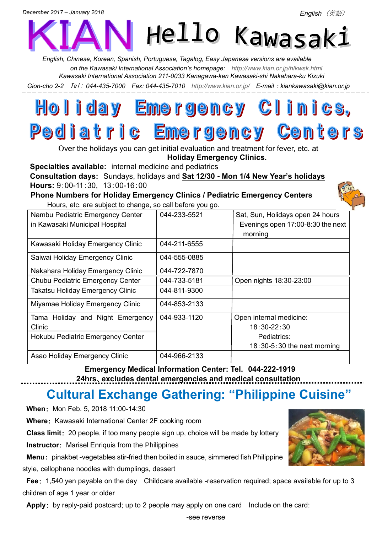*English*(英語)



*English, Chinese, Korean, Spanish, Portuguese, Tagalog, Easy Japanese versions are available on the Kawasaki International Association's homepage: <http://www.kian.or.jp/hlkwsk.html> Kawasaki International Association 211-0033 Kanagawa-ken Kawasaki-shi Nakahara-ku Kizuki*

*Gion-cho 2-2* Tel: *044-435-7000 Fax: 044-435-7010 <http://www.kian.or.jp/>E-mail*:*kiankawasaki@kian.or.jp*

## Holiday Emergency Clinics, Pediatric Emergency Centers

Over the holidays you can get initial evaluation and treatment for fever, etc. at **Holiday Emergency Clinics.**

**Specialties available:** internal medicine and pediatrics

**Consultation days:** Sundays, holidays and **Sat 12/30 - Mon 1/4 New Year's holidays Hours:** 9:00-11:30, 13:00-16:00

**Phone Numbers for Holiday Emergency Clinics / Pediatric Emergency Centers** Hours, etc. are subject to change, so call before you go.



| Nambu Pediatric Emergency Center<br>in Kawasaki Municipal Hospital | 044-233-5521 | Sat, Sun, Holidays open 24 hours<br>Evenings open 17:00-8:30 the next<br>morning |
|--------------------------------------------------------------------|--------------|----------------------------------------------------------------------------------|
| Kawasaki Holiday Emergency Clinic                                  | 044-211-6555 |                                                                                  |
| Saiwai Holiday Emergency Clinic                                    | 044-555-0885 |                                                                                  |
| Nakahara Holiday Emergency Clinic                                  | 044-722-7870 |                                                                                  |
| Chubu Pediatric Emergency Center                                   | 044-733-5181 | Open nights 18:30-23:00                                                          |
| Takatsu Holiday Emergency Clinic                                   | 044-811-9300 |                                                                                  |
| Miyamae Holiday Emergency Clinic                                   | 044-853-2133 |                                                                                  |
| Tama Holiday and Night Emergency                                   | 044-933-1120 | Open internal medicine:                                                          |
| Clinic                                                             |              | $18:30 - 22:30$                                                                  |
| Hokubu Pediatric Emergency Center                                  |              | Pediatrics:                                                                      |
|                                                                    |              | $18:30-5:30$ the next morning                                                    |
| Asao Holiday Emergency Clinic                                      | 044-966-2133 |                                                                                  |

**Emergency Medical Information Center: Tel. 044-222-1919 24hrs**、**excludes dental emergencies and medical consultation**

# **Cultural Exchange Gathering: "Philippine Cuisine"**

**When**: Mon Feb. 5, 2018 11:00-14:30

**Where**: Kawasaki International Center 2F cooking room

**Class limit**: 20 people, if too many people sign up, choice will be made by lottery

**Instructor**: Marisel Enriquis from the Philippines

**Menu**: pinakbet -vegetables stir-fried then boiled in sauce, simmered fish Philippine style, cellophane noodles with dumplings, dessert

**Fee**: 1,540 yen payable on the day Childcare available -reservation required; space available for up to 3 children of age 1 year or older

Apply: by reply-paid postcard; up to 2 people may apply on one card Include on the card: